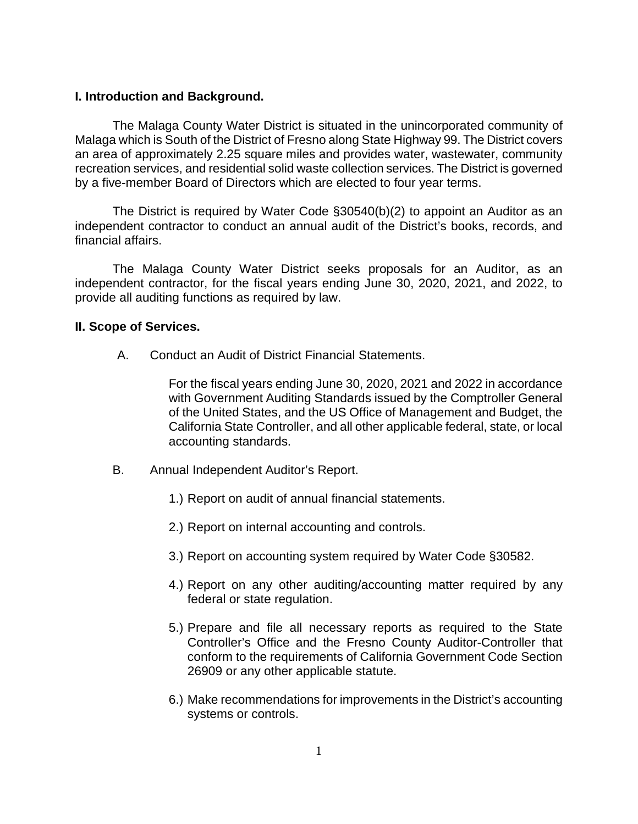#### **I. Introduction and Background.**

The Malaga County Water District is situated in the unincorporated community of Malaga which is South of the District of Fresno along State Highway 99. The District covers an area of approximately 2.25 square miles and provides water, wastewater, community recreation services, and residential solid waste collection services. The District is governed by a five-member Board of Directors which are elected to four year terms.

The District is required by Water Code §30540(b)(2) to appoint an Auditor as an independent contractor to conduct an annual audit of the District's books, records, and financial affairs.

The Malaga County Water District seeks proposals for an Auditor, as an independent contractor, for the fiscal years ending June 30, 2020, 2021, and 2022, to provide all auditing functions as required by law.

#### **II. Scope of Services.**

A. Conduct an Audit of District Financial Statements.

For the fiscal years ending June 30, 2020, 2021 and 2022 in accordance with Government Auditing Standards issued by the Comptroller General of the United States, and the US Office of Management and Budget, the California State Controller, and all other applicable federal, state, or local accounting standards.

- B. Annual Independent Auditor's Report.
	- 1.) Report on audit of annual financial statements.
	- 2.) Report on internal accounting and controls.
	- 3.) Report on accounting system required by Water Code §30582.
	- 4.) Report on any other auditing/accounting matter required by any federal or state regulation.
	- 5.) Prepare and file all necessary reports as required to the State Controller's Office and the Fresno County Auditor-Controller that conform to the requirements of California Government Code Section 26909 or any other applicable statute.
	- 6.) Make recommendations for improvements in the District's accounting systems or controls.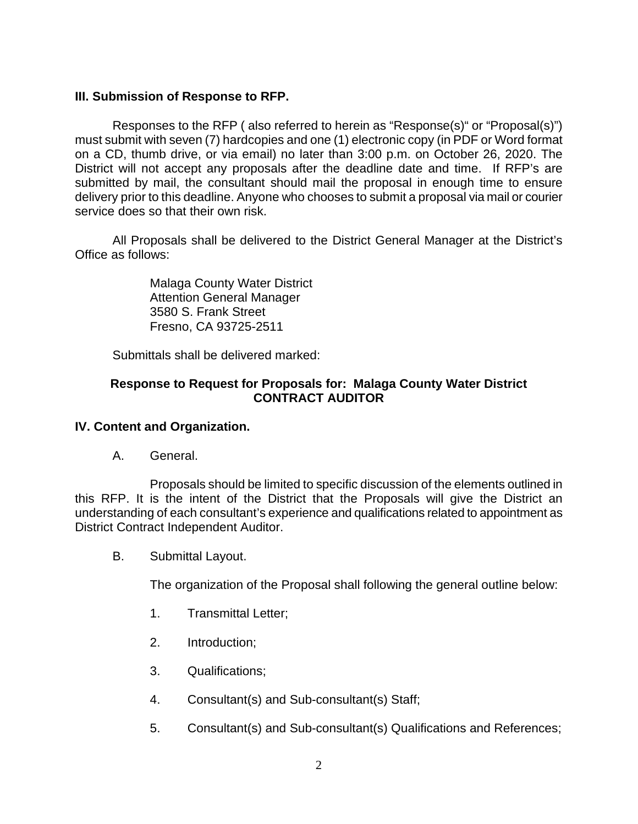## **III. Submission of Response to RFP.**

Responses to the RFP ( also referred to herein as "Response(s)" or "Proposal(s)") must submit with seven (7) hardcopies and one (1) electronic copy (in PDF or Word format on a CD, thumb drive, or via email) no later than 3:00 p.m. on October 26, 2020. The District will not accept any proposals after the deadline date and time. If RFP's are submitted by mail, the consultant should mail the proposal in enough time to ensure delivery prior to this deadline. Anyone who chooses to submit a proposal via mail or courier service does so that their own risk.

All Proposals shall be delivered to the District General Manager at the District's Office as follows:

> Malaga County Water District Attention General Manager 3580 S. Frank Street Fresno, CA 93725-2511

Submittals shall be delivered marked:

## **Response to Request for Proposals for: Malaga County Water District CONTRACT AUDITOR**

### **IV. Content and Organization.**

A. General.

Proposals should be limited to specific discussion of the elements outlined in this RFP. It is the intent of the District that the Proposals will give the District an understanding of each consultant's experience and qualifications related to appointment as District Contract Independent Auditor.

B. Submittal Layout.

The organization of the Proposal shall following the general outline below:

- 1. Transmittal Letter;
- 2. Introduction;
- 3. Qualifications;
- 4. Consultant(s) and Sub-consultant(s) Staff;
- 5. Consultant(s) and Sub-consultant(s) Qualifications and References;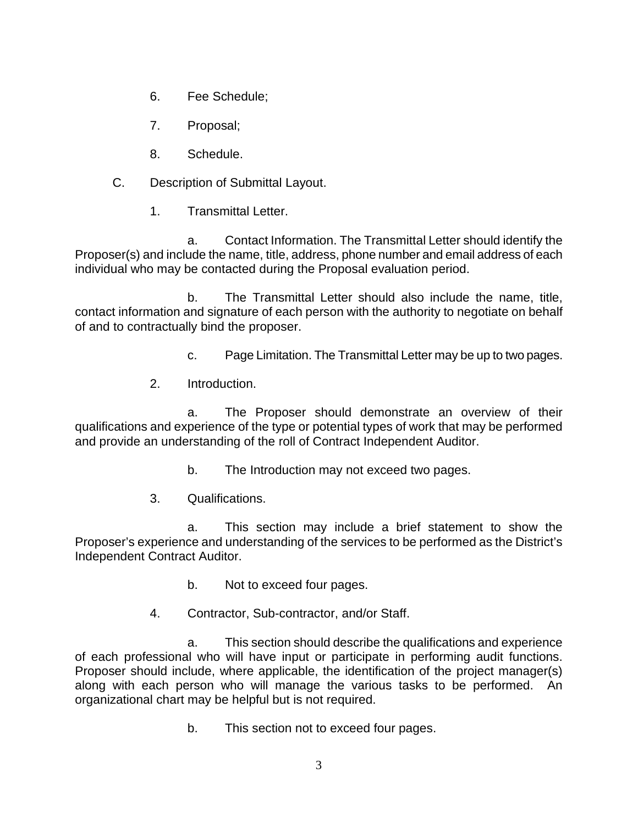- 6. Fee Schedule;
- 7. Proposal;
- 8. Schedule.
- C. Description of Submittal Layout.
	- 1. Transmittal Letter.

a. Contact Information. The Transmittal Letter should identify the Proposer(s) and include the name, title, address, phone number and email address of each individual who may be contacted during the Proposal evaluation period.

b. The Transmittal Letter should also include the name, title, contact information and signature of each person with the authority to negotiate on behalf of and to contractually bind the proposer.

c. Page Limitation. The Transmittal Letter may be up to two pages.

2. Introduction.

a. The Proposer should demonstrate an overview of their qualifications and experience of the type or potential types of work that may be performed and provide an understanding of the roll of Contract Independent Auditor.

- b. The Introduction may not exceed two pages.
- 3. Qualifications.

a. This section may include a brief statement to show the Proposer's experience and understanding of the services to be performed as the District's Independent Contract Auditor.

- b. Not to exceed four pages.
- 4. Contractor, Sub-contractor, and/or Staff.

a. This section should describe the qualifications and experience of each professional who will have input or participate in performing audit functions. Proposer should include, where applicable, the identification of the project manager(s) along with each person who will manage the various tasks to be performed. An organizational chart may be helpful but is not required.

b. This section not to exceed four pages.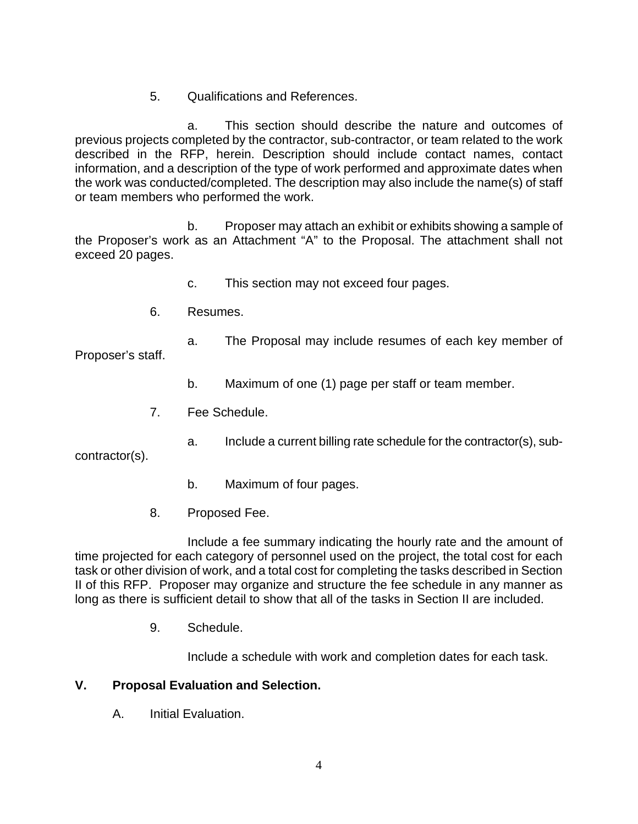5. Qualifications and References.

a. This section should describe the nature and outcomes of previous projects completed by the contractor, sub-contractor, or team related to the work described in the RFP, herein. Description should include contact names, contact information, and a description of the type of work performed and approximate dates when the work was conducted/completed. The description may also include the name(s) of staff or team members who performed the work.

b. Proposer may attach an exhibit or exhibits showing a sample of the Proposer's work as an Attachment "A" to the Proposal. The attachment shall not exceed 20 pages.

- c. This section may not exceed four pages.
- 6. Resumes.
	- a. The Proposal may include resumes of each key member of

Proposer's staff.

- b. Maximum of one (1) page per staff or team member.
- 7. Fee Schedule.
	- a. Include a current billing rate schedule for the contractor(s), sub-

contractor(s).

- b. Maximum of four pages.
- 8. Proposed Fee.

Include a fee summary indicating the hourly rate and the amount of time projected for each category of personnel used on the project, the total cost for each task or other division of work, and a total cost for completing the tasks described in Section II of this RFP. Proposer may organize and structure the fee schedule in any manner as long as there is sufficient detail to show that all of the tasks in Section II are included.

9. Schedule.

Include a schedule with work and completion dates for each task.

# **V. Proposal Evaluation and Selection.**

A. Initial Evaluation.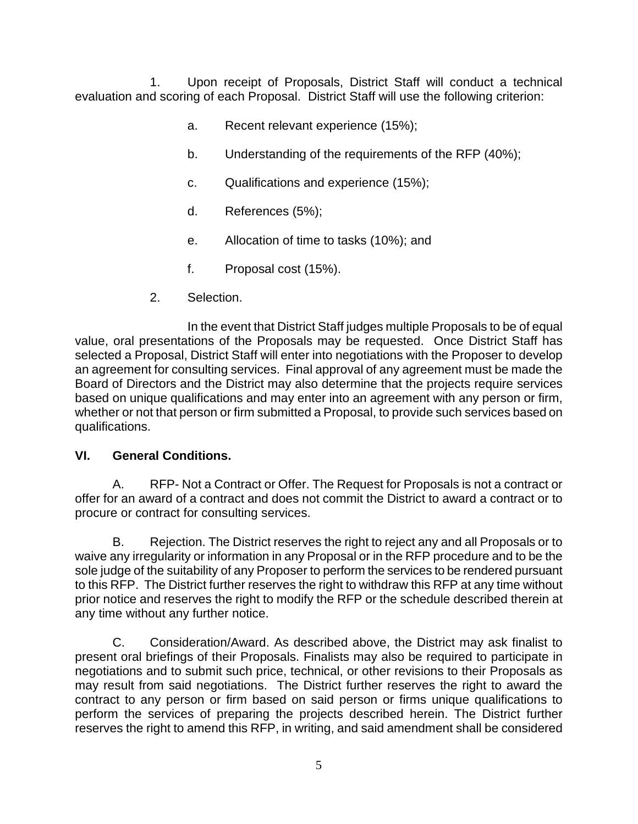Upon receipt of Proposals, District Staff will conduct a technical evaluation and scoring of each Proposal. District Staff will use the following criterion:

- a. Recent relevant experience (15%);
- b. Understanding of the requirements of the RFP (40%);
- c. Qualifications and experience (15%);
- d. References (5%);
- e. Allocation of time to tasks (10%); and
- f. Proposal cost (15%).
- 2. Selection.

In the event that District Staff judges multiple Proposals to be of equal value, oral presentations of the Proposals may be requested. Once District Staff has selected a Proposal, District Staff will enter into negotiations with the Proposer to develop an agreement for consulting services. Final approval of any agreement must be made the Board of Directors and the District may also determine that the projects require services based on unique qualifications and may enter into an agreement with any person or firm, whether or not that person or firm submitted a Proposal, to provide such services based on qualifications.

# **VI. General Conditions.**

A. RFP- Not a Contract or Offer. The Request for Proposals is not a contract or offer for an award of a contract and does not commit the District to award a contract or to procure or contract for consulting services.

B. Rejection. The District reserves the right to reject any and all Proposals or to waive any irregularity or information in any Proposal or in the RFP procedure and to be the sole judge of the suitability of any Proposer to perform the services to be rendered pursuant to this RFP. The District further reserves the right to withdraw this RFP at any time without prior notice and reserves the right to modify the RFP or the schedule described therein at any time without any further notice.

C. Consideration/Award. As described above, the District may ask finalist to present oral briefings of their Proposals. Finalists may also be required to participate in negotiations and to submit such price, technical, or other revisions to their Proposals as may result from said negotiations. The District further reserves the right to award the contract to any person or firm based on said person or firms unique qualifications to perform the services of preparing the projects described herein. The District further reserves the right to amend this RFP, in writing, and said amendment shall be considered